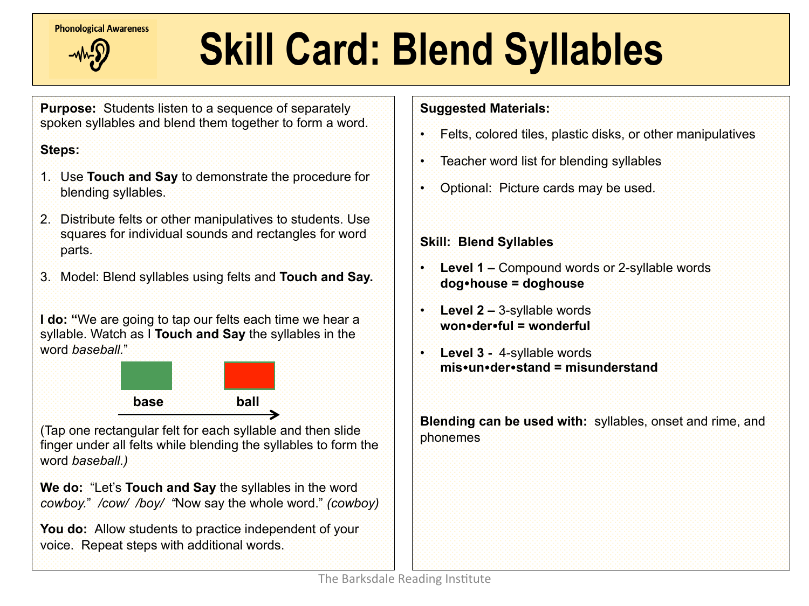**Phonological Awareness** 



## **Skill Card: Blend Syllables**

**Purpose:** Students listen to a sequence of separately spoken syllables and blend them together to form a word.

#### **Steps:**

- 1. Use **Touch and Say** to demonstrate the procedure for blending syllables.
- 2. Distribute felts or other manipulatives to students. Use squares for individual sounds and rectangles for word parts.
- 3. Model: Blend syllables using felts and **Touch and Say.**

**I do: "**We are going to tap our felts each time we hear a syllable. Watch as I **Touch and Say** the syllables in the word *baseball.*"



(Tap one rectangular felt for each syllable and then slide finger under all felts while blending the syllables to form the word *baseball.)* 

**We do:** "Let's **Touch and Say** the syllables in the word *cowboy.*" */cow/ /boy/ "*Now say the whole word." *(cowboy)* 

**You do:** Allow students to practice independent of your voice. Repeat steps with additional words.

#### **Suggested Materials:**

- Felts, colored tiles, plastic disks, or other manipulatives
- Teacher word list for blending syllables
- Optional: Picture cards may be used.

#### **Skill: Blend Syllables**

- **Level 1** Compound words or 2-syllable words **dog**!**house = doghouse**
- **Level 2** 3-syllable words **won**!**der**!**ful = wonderful**
- **Level 3** 4-syllable words **mis•un•der•stand = misunderstand**

**Blending can be used with:** syllables, onset and rime, and phonemes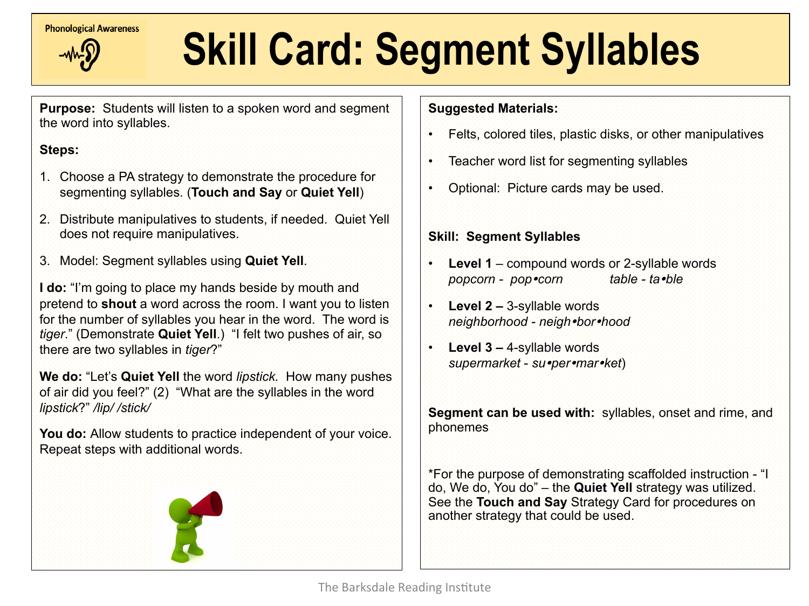

# **Extendiogrical Awareness** Skill Card: Segment Syllables

**Purpose:** Students will listen to a spoken word and segment the word into syllables.

#### **Steps:**

- 1. Choose a PA strategy to demonstrate the procedure for segmenting syllables. (**Touch and Say** or **Quiet Yell**)
- 2. Distribute manipulatives to students, if needed. Quiet Yell does not require manipulatives.
- 3. Model: Segment syllables using **Quiet Yell**.

**I do:** "I'm going to place my hands beside by mouth and pretend to **shout** a word across the room. I want you to listen for the number of syllables you hear in the word. The word is *tiger*." (Demonstrate **Quiet Yell**.) "I felt two pushes of air, so there are two syllables in *tiger*?"

**We do:** "Let's **Quiet Yell** the word *lipstick.* How many pushes of air did you feel?" (2) "What are the syllables in the word *lipstick*?" */lip/ /stick/* 

**You do:** Allow students to practice independent of your voice. Repeat steps with additional words.



#### **Suggested Materials:**

- Felts, colored tiles, plastic disks, or other manipulatives
- Teacher word list for segmenting syllables
- Optional: Picture cards may be used.

#### **Skill: Segment Syllables**

- **Level 1** compound words or 2-syllable words *popcorn - pop*!*corn table - ta*!*ble*
- **Level 2 –** 3-syllable words *neighborhood - neigh*!*bor*!*hood*
- **Level 3** 4-syllable words *supermarket* - *su*!*per*!*mar*!*ket*)

**Segment can be used with:** syllables, onset and rime, and phonemes

\*For the purpose of demonstrating scaffolded instruction - "I do, We do, You do" – the **Quiet Yell** strategy was utilized. See the **Touch and Say** Strategy Card for procedures on another strategy that could be used.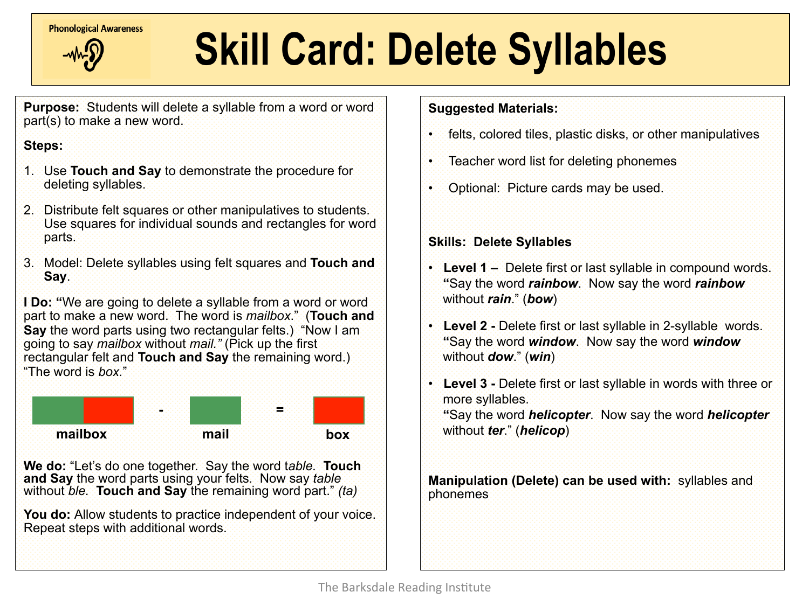**Phonological Awareness** 



### **Skill Card: Delete Syllables**

**Purpose:** Students will delete a syllable from a word or word part(s) to make a new word.

#### **Steps:**

- 1. Use **Touch and Say** to demonstrate the procedure for deleting syllables.
- 2. Distribute felt squares or other manipulatives to students. Use squares for individual sounds and rectangles for word parts.
- 3. Model: Delete syllables using felt squares and **Touch and Say**.

**I Do:** "We are going to delete a syllable from a word or word part to make a new word. The word is *mailbox*." (**Touch and Say** the word parts using two rectangular felts.) "Now I am going to say *mailbox* without *mail."* (Pick up the first rectangular felt and **Touch and Say** the remaining word.) "The word is *box.*"



**We do:** "Let's do one together. Say the word t*able.* **Touch and Say** the word parts using your felts*.* Now say *table* without *ble.* **Touch and Say** the remaining word part." *(ta)* 

**You do:** Allow students to practice independent of your voice. Repeat steps with additional words.

#### **Suggested Materials:**

- felts, colored tiles, plastic disks, or other manipulatives
- Teacher word list for deleting phonemes
- Optional: Picture cards may be used.

#### **Skills: Delete Syllables**

- **Level 1** Delete first or last syllable in compound words. **"**Say the word *rainbow*. Now say the word *rainbow* without *rain*." (*bow*)
- **Level 2** Delete first or last syllable in 2-syllable words. **"**Say the word *window*. Now say the word *window*  without *dow*." (*win*)
- **Level 3** Delete first or last syllable in words with three or more syllables. **"**Say the word *helicopter*. Now say the word *helicopter* without *ter*." (*helicop*)

**Manipulation (Delete) can be used with:** syllables and phonemes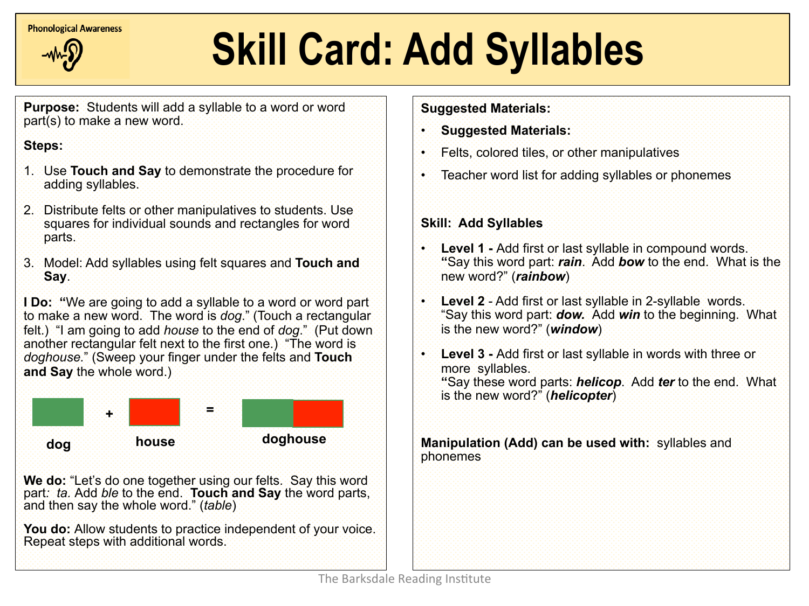**Phonological Awareness** 



## **Skill Card: Add Syllables**

**Purpose:** Students will add a syllable to a word or word part(s) to make a new word.

#### **Steps:**

Ì

- 1. Use **Touch and Say** to demonstrate the procedure for adding syllables.
- 2. Distribute felts or other manipulatives to students. Use squares for individual sounds and rectangles for word parts.
- 3. Model: Add syllables using felt squares and **Touch and Say**.

**I Do: "**We are going to add a syllable to a word or word part to make a new word. The word is *dog*." (Touch a rectangular felt.) "I am going to add *house* to the end of *dog*." (Put down another rectangular felt next to the first one.) "The word is *doghouse.*" (Sweep your finger under the felts and **Touch and Say** the whole word.)



 **We do:** "Let's do one together using our felts. Say this word part: ta. Add ble to the end. **Touch and Say** the word parts, and then say the whole word." (*table*)

**You do:** Allow students to practice independent of your voice. Repeat steps with additional words.

**Suggested Materials:** 

- **Suggested Materials:**
- Felts, colored tiles, or other manipulatives
- Teacher word list for adding syllables or phonemes

#### **Skill: Add Syllables**

- **Level 1 Add first or last syllable in compound words. "**Say this word part: *rain*. Add *bow* to the end. What is the new word?" (*rainbow*)
- **Level 2**  Add first or last syllable in 2-syllable words. "Say this word part: *dow.* Add *win* to the beginning. What is the new word?" (*window*)
- **Level 3 Add first or last syllable in words with three or** more syllables. **"**Say these word parts: *helicop*. Add *ter* to the end. What is the new word?" (*helicopter*)

**Manipulation (Add) can be used with:** syllables and phonemes